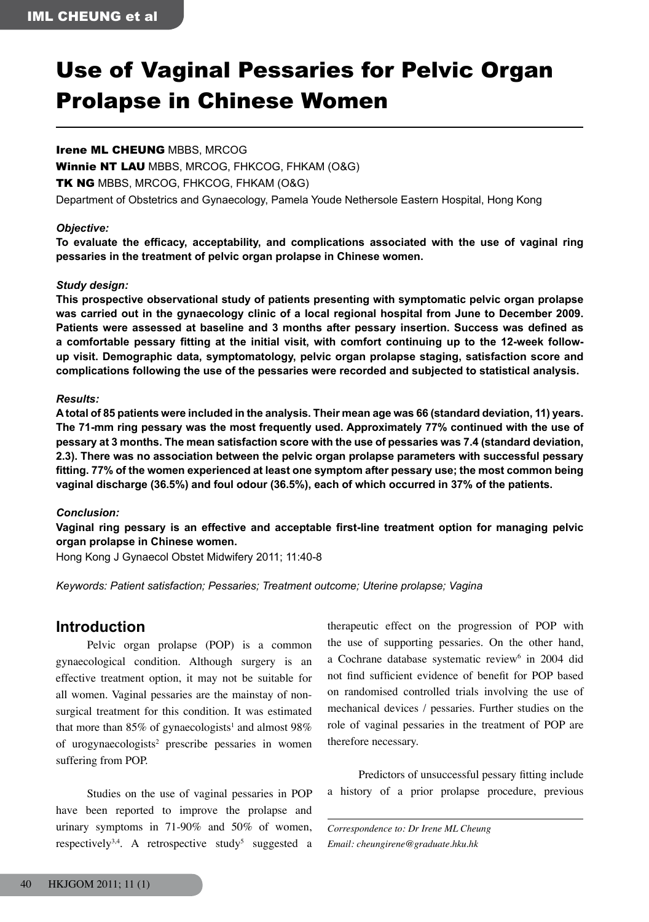# Use of Vaginal Pessaries for Pelvic Organ Prolapse in Chinese Women

#### Irene ML CHEUNG MBBS, MRCOG

Winnie NT LAU MBBS, MRCOG, FHKCOG, FHKAM (O&G)

**TK NG** MBBS, MRCOG, FHKCOG, FHKAM (O&G)

Department of Obstetrics and Gynaecology, Pamela Youde Nethersole Eastern Hospital, Hong Kong

#### *Objective:*

**To evaluate the efficacy, acceptability, and complications associated with the use of vaginal ring pessaries in the treatment of pelvic organ prolapse in Chinese women.**

### *Study design:*

**This prospective observational study of patients presenting with symptomatic pelvic organ prolapse was carried out in the gynaecology clinic of a local regional hospital from June to December 2009. Patients were assessed at baseline and 3 months after pessary insertion. Success was defined as a comfortable pessary fitting at the initial visit, with comfort continuing up to the 12-week followup visit. Demographic data, symptomatology, pelvic organ prolapse staging, satisfaction score and complications following the use of the pessaries were recorded and subjected to statistical analysis.**

#### *Results:*

**A total of 85 patients were included in the analysis. Their mean age was 66 (standard deviation, 11) years. The 71-mm ring pessary was the most frequently used. Approximately 77% continued with the use of pessary at 3 months. The mean satisfaction score with the use of pessaries was 7.4 (standard deviation, 2.3). There was no association between the pelvic organ prolapse parameters with successful pessary fitting. 77% of the women experienced at least one symptom after pessary use; the most common being vaginal discharge (36.5%) and foul odour (36.5%), each of which occurred in 37% of the patients.**

#### *Conclusion:*

**Vaginal ring pessary is an effective and acceptable first-line treatment option for managing pelvic organ prolapse in Chinese women.**

Hong Kong J Gynaecol Obstet Midwifery 2011; 11:40-8

*Keywords: Patient satisfaction; Pessaries; Treatment outcome; Uterine prolapse; Vagina*

## **Introduction**

 Pelvic organ prolapse (POP) is a common gynaecological condition. Although surgery is an effective treatment option, it may not be suitable for all women. Vaginal pessaries are the mainstay of nonsurgical treatment for this condition. It was estimated that more than 85% of gynaecologists<sup>1</sup> and almost 98% of urogynaecologists<sup>2</sup> prescribe pessaries in women suffering from POP.

 Studies on the use of vaginal pessaries in POP have been reported to improve the prolapse and urinary symptoms in 71-90% and 50% of women, respectively<sup>3,4</sup>. A retrospective study<sup>5</sup> suggested a

therapeutic effect on the progression of POP with the use of supporting pessaries. On the other hand, a Cochrane database systematic review<sup>6</sup> in 2004 did not find sufficient evidence of benefit for POP based on randomised controlled trials involving the use of mechanical devices / pessaries. Further studies on the role of vaginal pessaries in the treatment of POP are therefore necessary.

 Predictors of unsuccessful pessary fitting include a history of a prior prolapse procedure, previous

*Correspondence to: Dr Irene ML Cheung Email: cheungirene@graduate.hku.hk*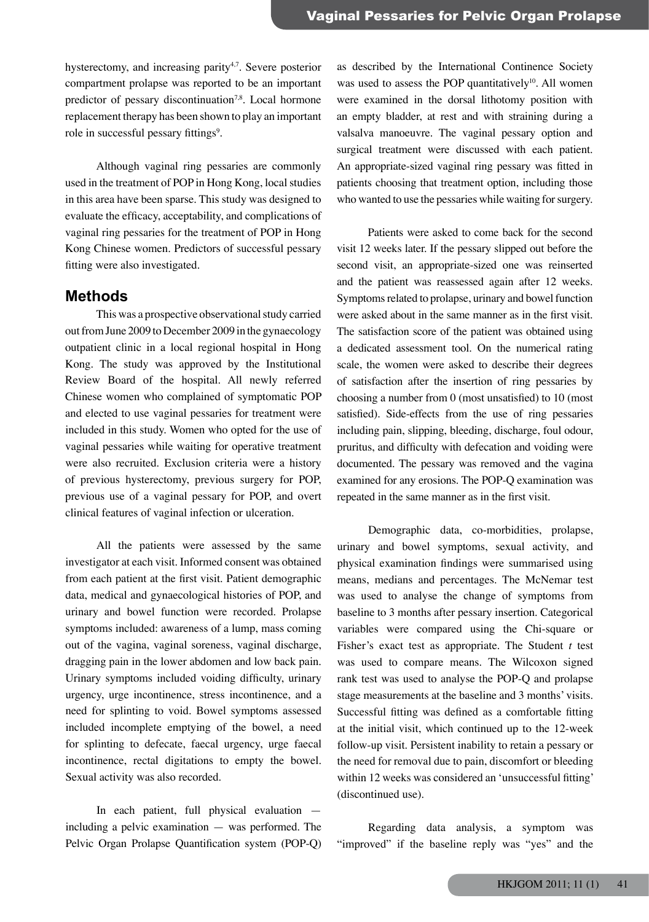hysterectomy, and increasing parity<sup>4,7</sup>. Severe posterior compartment prolapse was reported to be an important predictor of pessary discontinuation<sup>7,8</sup>. Local hormone replacement therapy has been shown to play an important role in successful pessary fittings<sup>9</sup>.

 Although vaginal ring pessaries are commonly used in the treatment of POP in Hong Kong, local studies in this area have been sparse. This study was designed to evaluate the efficacy, acceptability, and complications of vaginal ring pessaries for the treatment of POP in Hong Kong Chinese women. Predictors of successful pessary fitting were also investigated.

#### **Methods**

This was a prospective observational study carried out from June 2009 to December 2009 in the gynaecology outpatient clinic in a local regional hospital in Hong Kong. The study was approved by the Institutional Review Board of the hospital. All newly referred Chinese women who complained of symptomatic POP and elected to use vaginal pessaries for treatment were included in this study. Women who opted for the use of vaginal pessaries while waiting for operative treatment were also recruited. Exclusion criteria were a history of previous hysterectomy, previous surgery for POP, previous use of a vaginal pessary for POP, and overt clinical features of vaginal infection or ulceration.

 All the patients were assessed by the same investigator at each visit. Informed consent was obtained from each patient at the first visit. Patient demographic data, medical and gynaecological histories of POP, and urinary and bowel function were recorded. Prolapse symptoms included: awareness of a lump, mass coming out of the vagina, vaginal soreness, vaginal discharge, dragging pain in the lower abdomen and low back pain. Urinary symptoms included voiding difficulty, urinary urgency, urge incontinence, stress incontinence, and a need for splinting to void. Bowel symptoms assessed included incomplete emptying of the bowel, a need for splinting to defecate, faecal urgency, urge faecal incontinence, rectal digitations to empty the bowel. Sexual activity was also recorded.

 In each patient, full physical evaluation including a pelvic examination — was performed. The Pelvic Organ Prolapse Quantification system (POP-Q)

as described by the International Continence Society was used to assess the POP quantitatively $10^1$ . All women were examined in the dorsal lithotomy position with an empty bladder, at rest and with straining during a valsalva manoeuvre. The vaginal pessary option and surgical treatment were discussed with each patient. An appropriate-sized vaginal ring pessary was fitted in patients choosing that treatment option, including those who wanted to use the pessaries while waiting for surgery.

 Patients were asked to come back for the second visit 12 weeks later. If the pessary slipped out before the second visit, an appropriate-sized one was reinserted and the patient was reassessed again after 12 weeks. Symptoms related to prolapse, urinary and bowel function were asked about in the same manner as in the first visit. The satisfaction score of the patient was obtained using a dedicated assessment tool. On the numerical rating scale, the women were asked to describe their degrees of satisfaction after the insertion of ring pessaries by choosing a number from 0 (most unsatisfied) to 10 (most satisfied). Side-effects from the use of ring pessaries including pain, slipping, bleeding, discharge, foul odour, pruritus, and difficulty with defecation and voiding were documented. The pessary was removed and the vagina examined for any erosions. The POP-Q examination was repeated in the same manner as in the first visit.

 Demographic data, co-morbidities, prolapse, urinary and bowel symptoms, sexual activity, and physical examination findings were summarised using means, medians and percentages. The McNemar test was used to analyse the change of symptoms from baseline to 3 months after pessary insertion. Categorical variables were compared using the Chi-square or Fisher's exact test as appropriate. The Student *t* test was used to compare means. The Wilcoxon signed rank test was used to analyse the POP-Q and prolapse stage measurements at the baseline and 3 months' visits. Successful fitting was defined as a comfortable fitting at the initial visit, which continued up to the 12-week follow-up visit. Persistent inability to retain a pessary or the need for removal due to pain, discomfort or bleeding within 12 weeks was considered an 'unsuccessful fitting' (discontinued use).

 Regarding data analysis, a symptom was "improved" if the baseline reply was "yes" and the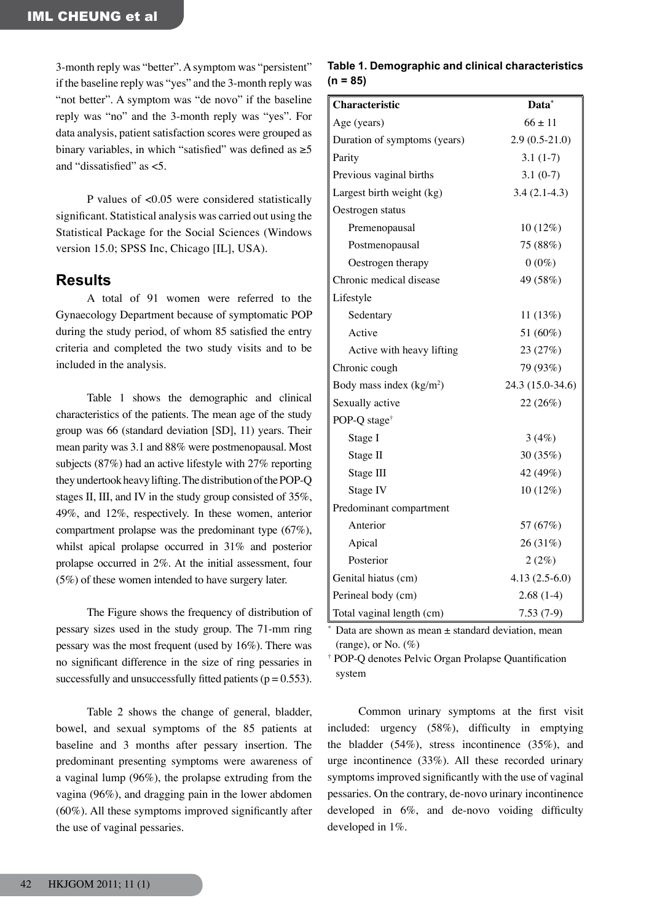3-month reply was "better".Asymptom was "persistent" if the baseline reply was "yes" and the 3-month reply was "not better". A symptom was "de novo" if the baseline reply was "no" and the 3-month reply was "yes". For data analysis, patient satisfaction scores were grouped as binary variables, in which "satisfied" was defined as  $\geq 5$ and "dissatisfied" as <5.

 P values of <0.05 were considered statistically significant. Statistical analysis was carried out using the Statistical Package for the Social Sciences (Windows version 15.0; SPSS Inc, Chicago [IL], USA).

### **Results**

 A total of 91 women were referred to the Gynaecology Department because of symptomatic POP during the study period, of whom 85 satisfied the entry criteria and completed the two study visits and to be included in the analysis.

 Table 1 shows the demographic and clinical characteristics of the patients. The mean age of the study group was 66 (standard deviation [SD], 11) years. Their mean parity was 3.1 and 88% were postmenopausal. Most subjects (87%) had an active lifestyle with 27% reporting they undertook heavy lifting. The distribution of the POP-Q stages II, III, and IV in the study group consisted of 35%, 49%, and 12%, respectively. In these women, anterior compartment prolapse was the predominant type (67%), whilst apical prolapse occurred in 31% and posterior prolapse occurred in 2%. At the initial assessment, four (5%) of these women intended to have surgery later.

 The Figure shows the frequency of distribution of pessary sizes used in the study group. The 71-mm ring pessary was the most frequent (used by 16%). There was no significant difference in the size of ring pessaries in successfully and unsuccessfully fitted patients ( $p = 0.553$ ).

 Table 2 shows the change of general, bladder, bowel, and sexual symptoms of the 85 patients at baseline and 3 months after pessary insertion. The predominant presenting symptoms were awareness of a vaginal lump (96%), the prolapse extruding from the vagina (96%), and dragging pain in the lower abdomen (60%). All these symptoms improved significantly after the use of vaginal pessaries.

#### **Table 1. Demographic and clinical characteristics (n = 85)**

| Characteristic                       | Data*            |
|--------------------------------------|------------------|
| Age (years)                          | $66 \pm 11$      |
| Duration of symptoms (years)         | $2.9(0.5-21.0)$  |
| Parity                               | $3.1(1-7)$       |
| Previous vaginal births              | $3.1(0-7)$       |
| Largest birth weight (kg)            | $3.4(2.1-4.3)$   |
| Oestrogen status                     |                  |
| Premenopausal                        | 10 (12%)         |
| Postmenopausal                       | 75 (88%)         |
| Oestrogen therapy                    | $0(0\%)$         |
| Chronic medical disease              | 49 (58%)         |
| Lifestyle                            |                  |
| Sedentary                            | 11(13%)          |
| Active                               | 51 (60%)         |
| Active with heavy lifting            | 23 (27%)         |
| Chronic cough                        | 79 (93%)         |
| Body mass index (kg/m <sup>2</sup> ) | 24.3 (15.0-34.6) |
| Sexually active                      | 22 (26%)         |
| POP-Q stage <sup>†</sup>             |                  |
| Stage I                              | 3(4%)            |
| Stage II                             | 30 (35%)         |
| Stage III                            | 42 (49%)         |
| Stage IV                             | 10 (12%)         |
| Predominant compartment              |                  |
| Anterior                             | 57 (67%)         |
| Apical                               | 26 (31%)         |
| Posterior                            | 2(2%)            |
| Genital hiatus (cm)                  | $4.13(2.5-6.0)$  |
| Perineal body (cm)                   | $2.68(1-4)$      |
| Total vaginal length (cm)            | $7.53(7-9)$      |

Data are shown as mean  $\pm$  standard deviation, mean (range), or No.  $(\%)$ 

\*

† POP-Q denotes Pelvic Organ Prolapse Quantification system

 Common urinary symptoms at the first visit included: urgency (58%), difficulty in emptying the bladder (54%), stress incontinence (35%), and urge incontinence (33%). All these recorded urinary symptomsimproved significantly with the use of vaginal pessaries. On the contrary, de-novo urinary incontinence developed in 6%, and de-novo voiding difficulty developed in 1%.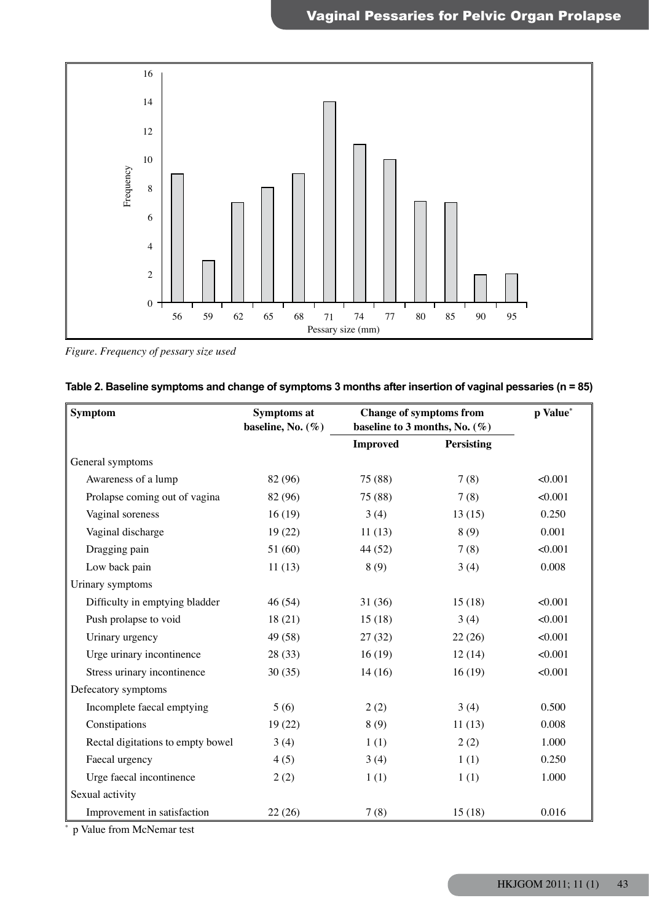

*Figure. Frequency of pessary size used*

| <b>Symptom</b>                    | Symptoms at<br>baseline, No. $(\%)$ | <b>Change of symptoms from</b><br>baseline to 3 months, No. $(\%)$ |                   | p Value* |
|-----------------------------------|-------------------------------------|--------------------------------------------------------------------|-------------------|----------|
|                                   |                                     | <b>Improved</b>                                                    | <b>Persisting</b> |          |
| General symptoms                  |                                     |                                                                    |                   |          |
| Awareness of a lump               | 82 (96)                             | 75 (88)                                                            | 7(8)              | < 0.001  |
| Prolapse coming out of vagina     | 82 (96)                             | 75 (88)                                                            | 7(8)              | < 0.001  |
| Vaginal soreness                  | 16(19)                              | 3(4)                                                               | 13(15)            | 0.250    |
| Vaginal discharge                 | 19(22)                              | 11(13)                                                             | 8(9)              | 0.001    |
| Dragging pain                     | 51(60)                              | 44 (52)                                                            | 7(8)              | < 0.001  |
| Low back pain                     | 11(13)                              | 8(9)                                                               | 3(4)              | 0.008    |
| Urinary symptoms                  |                                     |                                                                    |                   |          |
| Difficulty in emptying bladder    | 46 (54)                             | 31(36)                                                             | 15(18)            | < 0.001  |
| Push prolapse to void             | 18(21)                              | 15(18)                                                             | 3(4)              | < 0.001  |
| Urinary urgency                   | 49 (58)                             | 27(32)                                                             | 22(26)            | < 0.001  |
| Urge urinary incontinence         | 28 (33)                             | 16(19)                                                             | 12(14)            | < 0.001  |
| Stress urinary incontinence       | 30(35)                              | 14(16)                                                             | 16(19)            | < 0.001  |
| Defecatory symptoms               |                                     |                                                                    |                   |          |
| Incomplete faecal emptying        | 5(6)                                | 2(2)                                                               | 3(4)              | 0.500    |
| Constipations                     | 19(22)                              | 8(9)                                                               | 11(13)            | 0.008    |
| Rectal digitations to empty bowel | 3(4)                                | 1(1)                                                               | 2(2)              | 1.000    |
| Faecal urgency                    | 4(5)                                | 3(4)                                                               | 1(1)              | 0.250    |
| Urge faecal incontinence          | 2(2)                                | 1(1)                                                               | 1(1)              | 1.000    |
| Sexual activity                   |                                     |                                                                    |                   |          |
| Improvement in satisfaction       | 22(26)                              | 7(8)                                                               | 15(18)            | 0.016    |

| (n = 85) Table 2. Baseline symptoms and change of symptoms 3 months after insertion of vaginal pessaries (n = |  |  |
|---------------------------------------------------------------------------------------------------------------|--|--|
|                                                                                                               |  |  |
|                                                                                                               |  |  |
|                                                                                                               |  |  |

\* p Value from McNemar test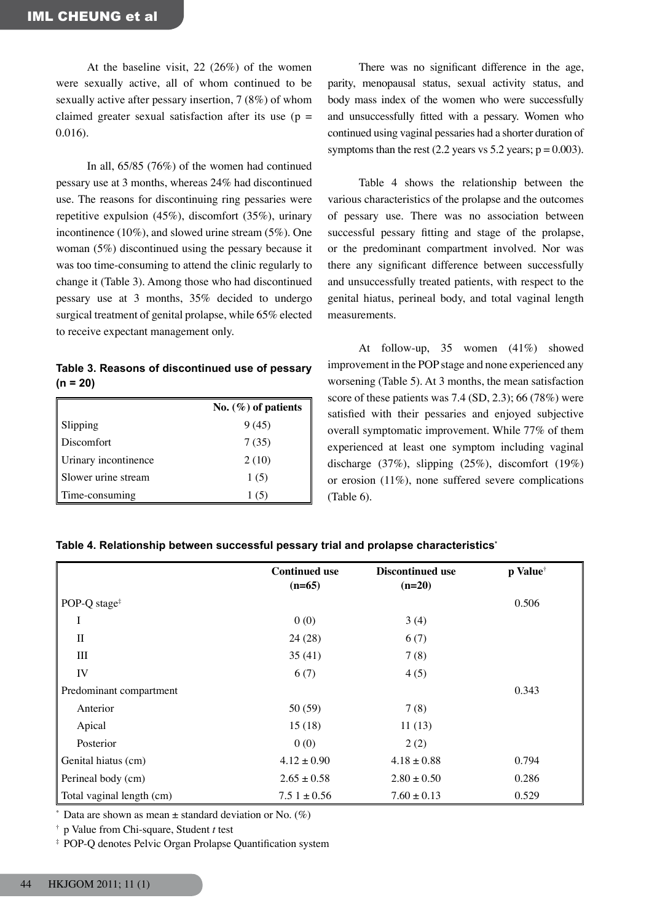At the baseline visit, 22 (26%) of the women were sexually active, all of whom continued to be sexually active after pessary insertion, 7 (8%) of whom claimed greater sexual satisfaction after its use  $(p =$ 0.016).

 In all, 65/85 (76%) of the women had continued pessary use at 3 months, whereas 24% had discontinued use. The reasons for discontinuing ring pessaries were repetitive expulsion (45%), discomfort (35%), urinary incontinence (10%), and slowed urine stream (5%). One woman (5%) discontinued using the pessary because it was too time-consuming to attend the clinic regularly to change it (Table 3). Among those who had discontinued pessary use at 3 months, 35% decided to undergo surgical treatment of genital prolapse, while 65% elected to receive expectant management only.

**Table 3. Reasons of discontinued use of pessary (n = 20)**

|                      | No. $(\%)$ of patients |
|----------------------|------------------------|
| Slipping             | 9(45)                  |
| <b>Discomfort</b>    | 7(35)                  |
| Urinary incontinence | 2(10)                  |
| Slower urine stream  | 1(5)                   |
| Time-consuming       | 1(5)                   |

 There was no significant difference in the age, parity, menopausal status, sexual activity status, and body mass index of the women who were successfully and unsuccessfully fitted with a pessary. Women who continued using vaginal pessaries had a shorter duration of symptoms than the rest  $(2.2 \text{ years} \text{ vs } 5.2 \text{ years}; \text{ p} = 0.003).$ 

 Table 4 shows the relationship between the various characteristics of the prolapse and the outcomes of pessary use. There was no association between successful pessary fitting and stage of the prolapse, or the predominant compartment involved. Nor was there any significant difference between successfully and unsuccessfully treated patients, with respect to the genital hiatus, perineal body, and total vaginal length measurements.

 At follow-up, 35 women (41%) showed improvement in the POP stage and none experienced any worsening (Table 5). At 3 months, the mean satisfaction score of these patients was 7.4 (SD, 2.3); 66 (78%) were satisfied with their pessaries and enjoyed subjective overall symptomatic improvement. While 77% of them experienced at least one symptom including vaginal discharge (37%), slipping (25%), discomfort (19%) or erosion (11%), none suffered severe complications (Table 6).

|                           | <b>Continued use</b><br>$(n=65)$ | <b>Discontinued use</b><br>$(n=20)$ | p Value <sup>†</sup> |
|---------------------------|----------------------------------|-------------------------------------|----------------------|
| POP-Q stage <sup>‡</sup>  |                                  |                                     | 0.506                |
| I                         | 0(0)                             | 3(4)                                |                      |
| $\mathbf{I}$              | 24(28)                           | 6(7)                                |                      |
| Ш                         | 35(41)                           | 7(8)                                |                      |
| IV                        | 6(7)                             | 4(5)                                |                      |
| Predominant compartment   |                                  |                                     | 0.343                |
| Anterior                  | 50(59)                           | 7(8)                                |                      |
| Apical                    | 15(18)                           | 11(13)                              |                      |
| Posterior                 | 0(0)                             | 2(2)                                |                      |
| Genital hiatus (cm)       | $4.12 \pm 0.90$                  | $4.18 \pm 0.88$                     | 0.794                |
| Perineal body (cm)        | $2.65 \pm 0.58$                  | $2.80 \pm 0.50$                     | 0.286                |
| Total vaginal length (cm) | $7.51 \pm 0.56$                  | $7.60 \pm 0.13$                     | 0.529                |

**Table 4. Relationship between successful pessary trial and prolapse characteristics\***

 $*$  Data are shown as mean  $\pm$  standard deviation or No. (%)

† p Value from Chi-square, Student *t* test

‡ POP-Q denotes Pelvic Organ Prolapse Quantification system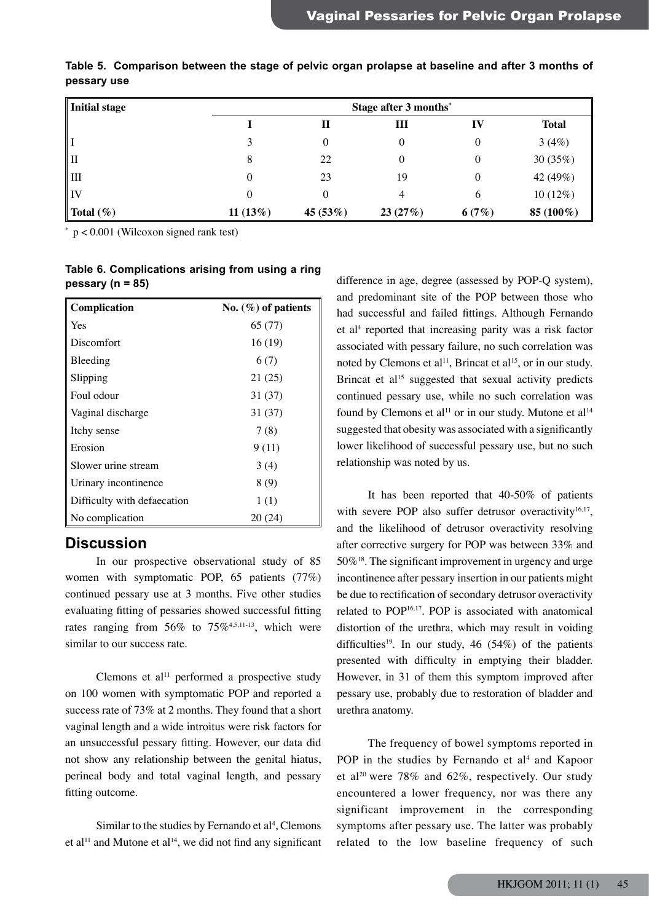| Initial stage | Stage after 3 months* |            |         |       |              |
|---------------|-----------------------|------------|---------|-------|--------------|
|               |                       | П          | Ш       | IV    | <b>Total</b> |
| l I           |                       | 0          | 0       | 0     | 3(4%)        |
| II            | 8                     | 22         | 0       | 0     | 30 $(35%)$   |
| ш             | 0                     | 23         | 19      | 0     | 42 (49%)     |
| IV            | 0                     |            | 4       | 6     | $10(12\%)$   |
| Total $(\%)$  | 11(13%)               | 45 $(53%)$ | 23(27%) | 6(7%) | 85 (100%)    |

**Table 5. Comparison between the stage of pelvic organ prolapse at baseline and after 3 months of pessary use**

 p < 0.001 (Wilcoxon signed rank test)

\*

**Table 6. Complications arising from using a ring pessary (n = 85)**

| Complication                | No. $(\%)$ of patients |
|-----------------------------|------------------------|
| Yes                         | 65 (77)                |
| Discomfort                  | 16(19)                 |
| Bleeding                    | 6(7)                   |
| Slipping                    | 21 (25)                |
| Foul odour                  | 31(37)                 |
| Vaginal discharge           | 31 (37)                |
| Itchy sense                 | 7(8)                   |
| Erosion                     | 9(11)                  |
| Slower urine stream         | 3(4)                   |
| Urinary incontinence        | 8(9)                   |
| Difficulty with defaecation | 1(1)                   |
| No complication             | 20 (24)                |

## **Discussion**

 In our prospective observational study of 85 women with symptomatic POP, 65 patients (77%) continued pessary use at 3 months. Five other studies evaluating fitting of pessaries showed successful fitting rates ranging from  $56\%$  to  $75\%$ <sup>4,5,11-13</sup>, which were similar to our success rate.

Clemons et al<sup>11</sup> performed a prospective study on 100 women with symptomatic POP and reported a success rate of 73% at 2 months. They found that a short vaginal length and a wide introitus were risk factors for an unsuccessful pessary fitting. However, our data did not show any relationship between the genital hiatus, perineal body and total vaginal length, and pessary fitting outcome.

Similar to the studies by Fernando et  $al<sup>4</sup>$ , Clemons et al<sup>11</sup> and Mutone et al<sup>14</sup>, we did not find any significant difference in age, degree (assessed by POP-Q system), and predominant site of the POP between those who had successful and failed fittings. Although Fernando et al4 reported that increasing parity was a risk factor associated with pessary failure, no such correlation was noted by Clemons et al<sup>11</sup>, Brincat et al<sup>15</sup>, or in our study. Brincat et al<sup>15</sup> suggested that sexual activity predicts continued pessary use, while no such correlation was found by Clemons et al<sup>11</sup> or in our study. Mutone et al<sup>14</sup> suggested that obesity was associated with a significantly lower likelihood of successful pessary use, but no such relationship was noted by us.

 It has been reported that 40-50% of patients with severe POP also suffer detrusor overactivity $16,17$ , and the likelihood of detrusor overactivity resolving after corrective surgery for POP was between 33% and 50%18. The significant improvement in urgency and urge incontinence after pessary insertion in our patients might be due to rectification of secondary detrusor overactivity related to POP<sup>16,17</sup>. POP is associated with anatomical distortion of the urethra, which may result in voiding difficulties<sup>19</sup>. In our study, 46 (54%) of the patients presented with difficulty in emptying their bladder. However, in 31 of them this symptom improved after pessary use, probably due to restoration of bladder and urethra anatomy.

 The frequency of bowel symptoms reported in POP in the studies by Fernando et al<sup>4</sup> and Kapoor et al<sup>20</sup> were 78% and 62%, respectively. Our study encountered a lower frequency, nor was there any significant improvement in the corresponding symptoms after pessary use. The latter was probably related to the low baseline frequency of such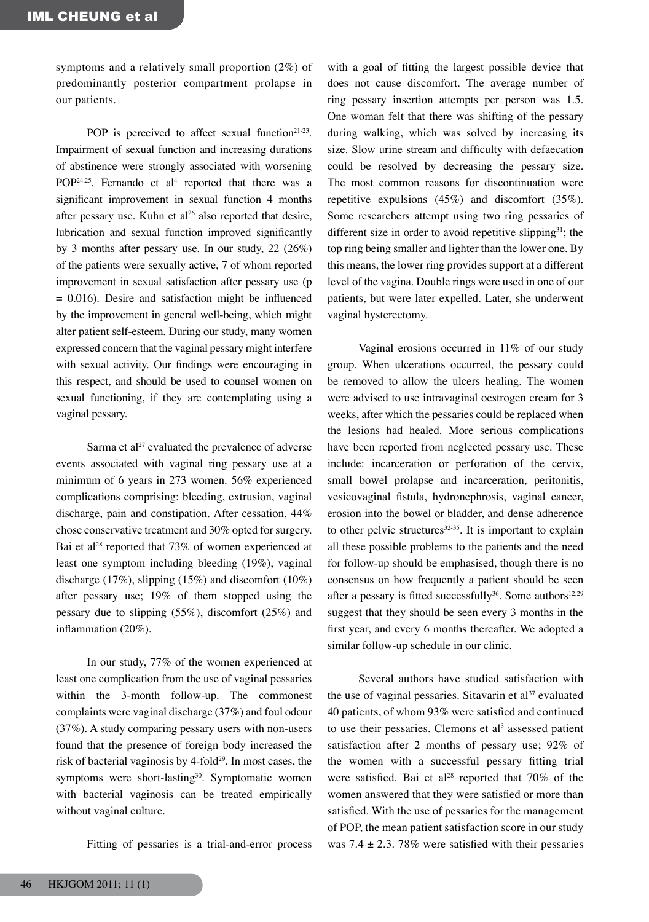symptoms and a relatively small proportion (2%) of predominantly posterior compartment prolapse in our patients.

POP is perceived to affect sexual function<sup>21-23</sup>. Impairment of sexual function and increasing durations of abstinence were strongly associated with worsening POP<sup>24,25</sup>. Fernando et al<sup>4</sup> reported that there was a significant improvement in sexual function 4 months after pessary use. Kuhn et al<sup>26</sup> also reported that desire, lubrication and sexual function improved significantly by 3 months after pessary use. In our study, 22 (26%) of the patients were sexually active, 7 of whom reported improvement in sexual satisfaction after pessary use (p  $= 0.016$ ). Desire and satisfaction might be influenced by the improvement in general well-being, which might alter patient self-esteem. During our study, many women expressed concern that the vaginal pessary might interfere with sexual activity. Our findings were encouraging in this respect, and should be used to counsel women on sexual functioning, if they are contemplating using a vaginal pessary.

Sarma et al<sup>27</sup> evaluated the prevalence of adverse events associated with vaginal ring pessary use at a minimum of 6 years in 273 women. 56% experienced complications comprising: bleeding, extrusion, vaginal discharge, pain and constipation. After cessation, 44% chose conservative treatment and 30% opted for surgery. Bai et al<sup>28</sup> reported that 73% of women experienced at least one symptom including bleeding (19%), vaginal discharge (17%), slipping (15%) and discomfort (10%) after pessary use; 19% of them stopped using the pessary due to slipping (55%), discomfort (25%) and inflammation (20%).

 In our study, 77% of the women experienced at least one complication from the use of vaginal pessaries within the 3-month follow-up. The commonest complaints were vaginal discharge (37%) and foul odour (37%). A study comparing pessary users with non-users found that the presence of foreign body increased the risk of bacterial vaginosis by  $4$ -fold<sup>29</sup>. In most cases, the symptoms were short-lasting<sup>30</sup>. Symptomatic women with bacterial vaginosis can be treated empirically without vaginal culture.

 Fitting of pessaries is a trial-and-error process

with a goal of fitting the largest possible device that does not cause discomfort. The average number of ring pessary insertion attempts per person was 1.5. One woman felt that there was shifting of the pessary during walking, which was solved by increasing its size. Slow urine stream and difficulty with defaecation could be resolved by decreasing the pessary size. The most common reasons for discontinuation were repetitive expulsions (45%) and discomfort (35%). Some researchers attempt using two ring pessaries of different size in order to avoid repetitive slipping<sup>31</sup>; the top ring being smaller and lighter than the lower one. By this means, the lower ring provides support at a different level of the vagina. Double rings were used in one of our patients, but were later expelled. Later, she underwent vaginal hysterectomy.

 Vaginal erosions occurred in 11% of our study group. When ulcerations occurred, the pessary could be removed to allow the ulcers healing. The women were advised to use intravaginal oestrogen cream for 3 weeks, after which the pessaries could be replaced when the lesions had healed. More serious complications have been reported from neglected pessary use. These include: incarceration or perforation of the cervix, small bowel prolapse and incarceration, peritonitis, vesicovaginal fistula, hydronephrosis, vaginal cancer, erosion into the bowel or bladder, and dense adherence to other pelvic structures $32-35$ . It is important to explain all these possible problems to the patients and the need for follow-up should be emphasised, though there is no consensus on how frequently a patient should be seen after a pessary is fitted successfully<sup>36</sup>. Some authors<sup>12,29</sup> suggest that they should be seen every 3 months in the first year, and every 6 months thereafter. We adopted a similar follow-up schedule in our clinic.

 Several authors have studied satisfaction with the use of vaginal pessaries. Sitavarin et  $al<sup>37</sup>$  evaluated 40 patients, of whom 93% were satisfied and continued to use their pessaries. Clemons et  $al<sup>3</sup>$  assessed patient satisfaction after 2 months of pessary use; 92% of the women with a successful pessary fitting trial were satisfied. Bai et al<sup>28</sup> reported that  $70\%$  of the women answered that they were satisfied or more than satisfied. With the use of pessaries for the management of POP, the mean patient satisfaction score in our study was 7.4  $\pm$  2.3. 78% were satisfied with their pessaries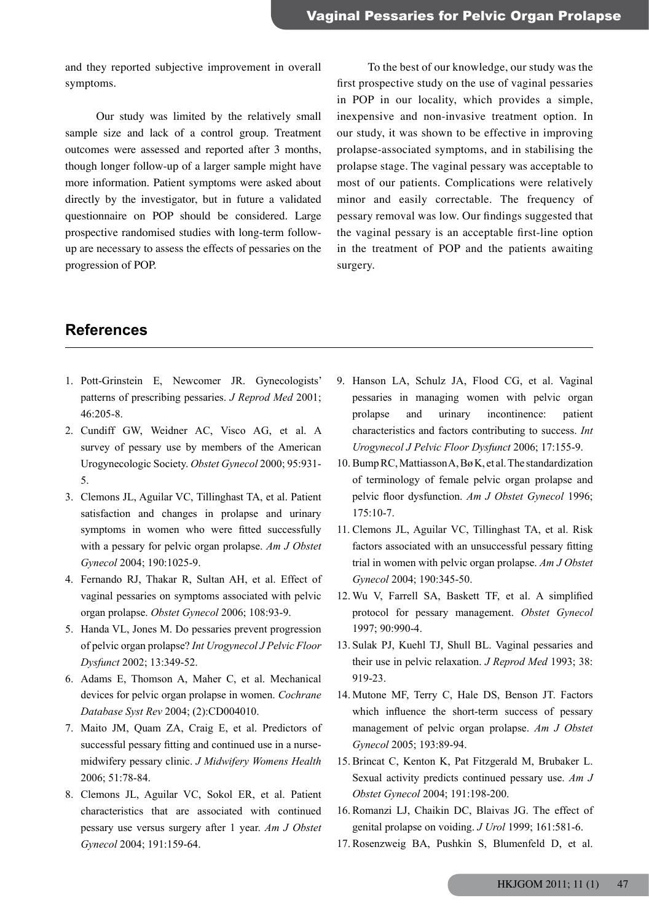and they reported subjective improvement in overall symptoms.

 Our study was limited by the relatively small sample size and lack of a control group. Treatment outcomes were assessed and reported after 3 months, though longer follow-up of a larger sample might have more information. Patient symptoms were asked about directly by the investigator, but in future a validated questionnaire on POP should be considered. Large prospective randomised studies with long-term followup are necessary to assess the effects of pessaries on the progression of POP.

 To the best of our knowledge, our study was the first prospective study on the use of vaginal pessaries in POP in our locality, which provides a simple, inexpensive and non-invasive treatment option. In our study, it was shown to be effective in improving prolapse-associated symptoms, and in stabilising the prolapse stage. The vaginal pessary was acceptable to most of our patients. Complications were relatively minor and easily correctable. The frequency of pessary removal was low. Our findings suggested that the vaginal pessary is an acceptable first-line option in the treatment of POP and the patients awaiting surgery.

## **References**

- 1. Pott-Grinstein E, Newcomer JR. Gynecologists' patterns of prescribing pessaries. *J Reprod Med* 2001; 46:205-8.
- 2. Cundiff GW, Weidner AC, Visco AG, et al. A survey of pessary use by members of the American Urogynecologic Society. *Obstet Gynecol* 2000; 95:931- 5.
- 3. Clemons JL, Aguilar VC, Tillinghast TA, et al. Patient satisfaction and changes in prolapse and urinary symptoms in women who were fitted successfully with a pessary for pelvic organ prolapse. *Am J Obstet Gynecol* 2004; 190:1025-9.
- 4. Fernando RJ, Thakar R, Sultan AH, et al. Effect of vaginal pessaries on symptoms associated with pelvic organ prolapse. *Obstet Gynecol* 2006; 108:93-9.
- 5. Handa VL, Jones M. Do pessaries prevent progression of pelvic organ prolapse? *Int Urogynecol J Pelvic Floor Dysfunct* 2002; 13:349-52.
- 6. Adams E, Thomson A, Maher C, et al. Mechanical devices for pelvic organ prolapse in women. *Cochrane Database Syst Rev* 2004; (2):CD004010.
- 7. Maito JM, Quam ZA, Craig E, et al. Predictors of successful pessary fitting and continued use in a nursemidwifery pessary clinic. *J Midwifery Womens Health* 2006; 51:78-84.
- 8. Clemons JL, Aguilar VC, Sokol ER, et al. Patient characteristics that are associated with continued pessary use versus surgery after 1 year. *Am J Obstet Gynecol* 2004; 191:159-64.
- 9. Hanson LA, Schulz JA, Flood CG, et al. Vaginal pessaries in managing women with pelvic organ prolapse and urinary incontinence: patient characteristics and factors contributing to success. *Int Urogynecol J Pelvic Floor Dysfunct* 2006; 17:155-9.
- 10. BumpRC,MattiassonA,BøK, et al.The standardization of terminology of female pelvic organ prolapse and pelvic floor dysfunction. *Am J Obstet Gynecol* 1996;  $175 \cdot 10 - 7$
- 11. Clemons JL, Aguilar VC, Tillinghast TA, et al. Risk factors associated with an unsuccessful pessary fitting trial in women with pelvic organ prolapse. *Am J Obstet Gynecol* 2004; 190:345-50.
- 12. Wu V, Farrell SA, Baskett TF, et al. A simplified protocol for pessary management. *Obstet Gynecol* 1997; 90:990-4.
- 13. Sulak PJ, Kuehl TJ, Shull BL. Vaginal pessaries and their use in pelvic relaxation. *J Reprod Med* 1993; 38: 919-23.
- 14. Mutone MF, Terry C, Hale DS, Benson JT. Factors which influence the short-term success of pessary management of pelvic organ prolapse. *Am J Obstet Gynecol* 2005; 193:89-94.
- 15. Brincat C, Kenton K, Pat Fitzgerald M, Brubaker L. Sexual activity predicts continued pessary use. *Am J Obstet Gynecol* 2004; 191:198-200.
- 16. Romanzi LJ, Chaikin DC, Blaivas JG. The effect of genital prolapse on voiding. *J Urol* 1999; 161:581-6.
- 17. Rosenzweig BA, Pushkin S, Blumenfeld D, et al.